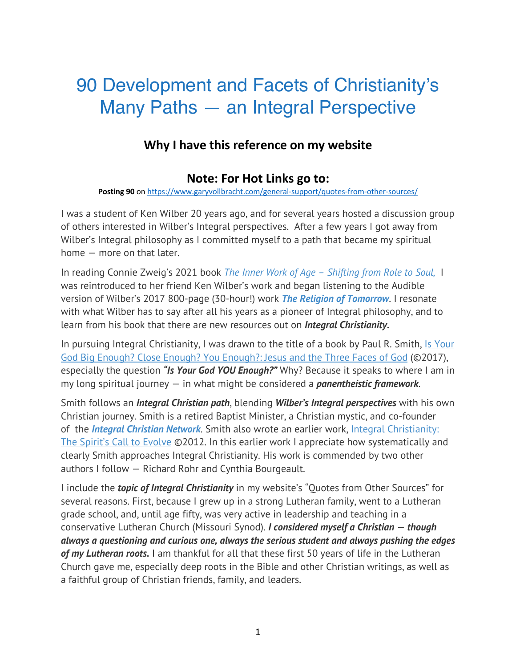# 90 Development and Facets of Christianity's Many Paths — an Integral Perspective

## **Why I have this reference on my website**

## **Note: For Hot Links go to:**

**Posting 90** on https://www.garyvollbracht.com/general-support/quotes-from-other-sources/

I was a student of Ken Wilber 20 years ago, and for several years hosted a discussion group of others interested in Wilber's Integral perspectives. After a few years I got away from Wilber's Integral philosophy as I committed myself to a path that became my spiritual home — more on that later.

In reading Connie Zweig's 2021 book *The Inner Work of Age – Shifting from Role to Soul,* I was reintroduced to her friend Ken Wilber's work and began listening to the Audible version of Wilber's 2017 800-page (30-hour!) work *The Religion of Tomorrow*. I resonate with what Wilber has to say after all his years as a pioneer of Integral philosophy, and to learn from his book that there are new resources out on *Integral Christianity.*

In pursuing Integral Christianity, I was drawn to the title of a book by Paul R. Smith, Is Your God Big Enough? Close Enough? You Enough?: Jesus and the Three Faces of God (©2017), especially the question *"Is Your God YOU Enough?"* Why? Because it speaks to where I am in my long spiritual journey — in what might be considered a *panentheistic framework*.

Smith follows an *Integral Christian path*, blending *Wilber's Integral perspectives* with his own Christian journey. Smith is a retired Baptist Minister, a Christian mystic, and co-founder of the *Integral Christian Network*. Smith also wrote an earlier work, Integral Christianity: The Spirit's Call to Evolve ©2012. In this earlier work I appreciate how systematically and clearly Smith approaches Integral Christianity. His work is commended by two other authors I follow — Richard Rohr and Cynthia Bourgeault.

I include the *topic of Integral Christianity* in my website's "Quotes from Other Sources" for several reasons. First, because I grew up in a strong Lutheran family, went to a Lutheran grade school, and, until age fifty, was very active in leadership and teaching in a conservative Lutheran Church (Missouri Synod). *I considered myself a Christian — though always a questioning and curious one, always the serious student and always pushing the edges of my Lutheran roots.* I am thankful for all that these first 50 years of life in the Lutheran Church gave me, especially deep roots in the Bible and other Christian writings, as well as a faithful group of Christian friends, family, and leaders.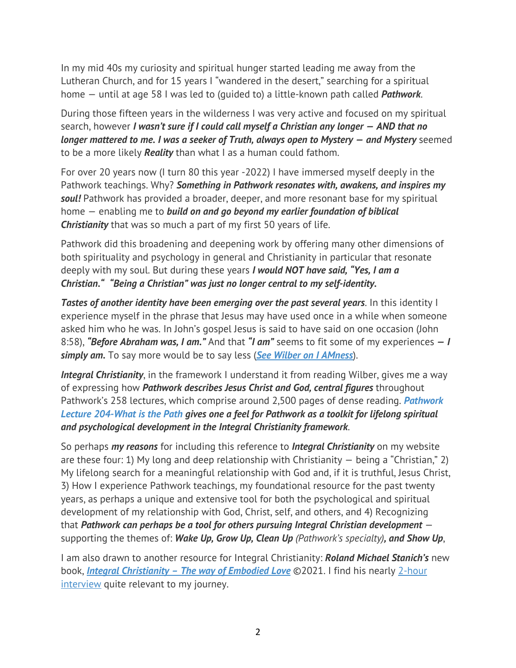In my mid 40s my curiosity and spiritual hunger started leading me away from the Lutheran Church, and for 15 years I "wandered in the desert," searching for a spiritual home — until at age 58 I was led to (guided to) a little-known path called *Pathwork*.

During those fifteen years in the wilderness I was very active and focused on my spiritual search, however *I wasn't sure if I could call myself a Christian any longer — AND that no longer mattered to me. I was a seeker of Truth, always open to Mystery — and Mystery* seemed to be a more likely *Reality* than what I as a human could fathom.

For over 20 years now (I turn 80 this year -2022) I have immersed myself deeply in the Pathwork teachings. Why? *Something in Pathwork resonates with, awakens, and inspires my soul!* Pathwork has provided a broader, deeper, and more resonant base for my spiritual home — enabling me to *build on and go beyond my earlier foundation of biblical Christianity* that was so much a part of my first 50 years of life.

Pathwork did this broadening and deepening work by offering many other dimensions of both spirituality and psychology in general and Christianity in particular that resonate deeply with my soul. But during these years *I would NOT have said, "Yes, I am a Christian." "Being a Christian" was just no longer central to my self-identity.*

*Tastes of another identity have been emerging over the past several years*. In this identity I experience myself in the phrase that Jesus may have used once in a while when someone asked him who he was. In John's gospel Jesus is said to have said on one occasion (John 8:58), *"Before Abraham was, I am."* And that *"I am"* seems to fit some of my experiences *— I simply am.* To say more would be to say less (*See Wilber on I AMness*).

**Integral Christianity**, in the framework I understand it from reading Wilber, gives me a way of expressing how *Pathwork describes Jesus Christ and God, central figures* throughout Pathwork's 258 lectures, which comprise around 2,500 pages of dense reading. *Pathwork Lecture 204-What is the Path gives one a feel for Pathwork as a toolkit for lifelong spiritual and psychological development in the Integral Christianity framework*.

So perhaps *my reasons* for including this reference to *Integral Christianity* on my website are these four: 1) My long and deep relationship with Christianity  $-$  being a "Christian," 2) My lifelong search for a meaningful relationship with God and, if it is truthful, Jesus Christ, 3) How I experience Pathwork teachings, my foundational resource for the past twenty years, as perhaps a unique and extensive tool for both the psychological and spiritual development of my relationship with God, Christ, self, and others, and 4) Recognizing that *Pathwork can perhaps be a tool for others pursuing Integral Christian development* supporting the themes of: *Wake Up, Grow Up, Clean Up (Pathwork's specialty), and Show Up*,

I am also drawn to another resource for Integral Christianity: *Roland Michael Stanich's* new book, *Integral Christianity – The way of Embodied Love* ©2021. I find his nearly 2-hour interview quite relevant to my journey.